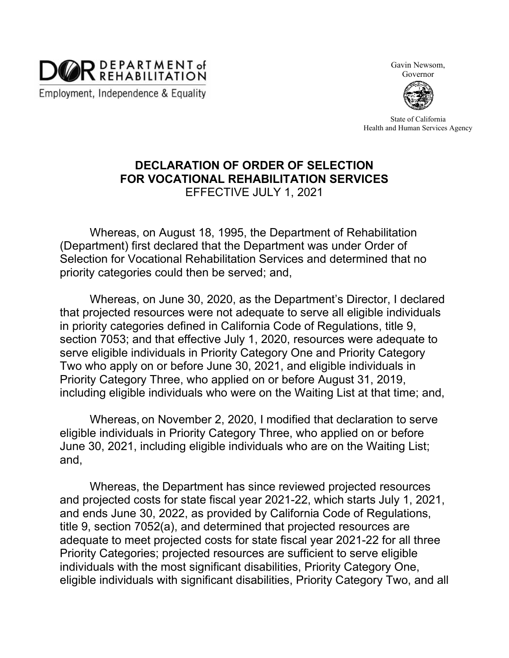

Gavin Newsom,

Governor



State of California Health and Human Services Agency

## **DECLARATION OF ORDER OF SELECTION FOR VOCATIONAL REHABILITATION SERVICES** EFFECTIVE JULY 1, 2021

Whereas, on August 18, 1995, the Department of Rehabilitation (Department) first declared that the Department was under Order of Selection for Vocational Rehabilitation Services and determined that no priority categories could then be served; and,

Whereas, on June 30, 2020, as the Department's Director, I declared that projected resources were not adequate to serve all eligible individuals in priority categories defined in California Code of Regulations, title 9, section 7053; and that effective July 1, 2020, resources were adequate to serve eligible individuals in Priority Category One and Priority Category Two who apply on or before June 30, 2021, and eligible individuals in Priority Category Three, who applied on or before August 31, 2019, including eligible individuals who were on the Waiting List at that time; and,

Whereas, on November 2, 2020, I modified that declaration to serve eligible individuals in Priority Category Three, who applied on or before June 30, 2021, including eligible individuals who are on the Waiting List; and,

Whereas, the Department has since reviewed projected resources and projected costs for state fiscal year 2021-22, which starts July 1, 2021, and ends June 30, 2022, as provided by California Code of Regulations, title 9, section 7052(a), and determined that projected resources are adequate to meet projected costs for state fiscal year 2021-22 for all three Priority Categories; projected resources are sufficient to serve eligible individuals with the most significant disabilities, Priority Category One, eligible individuals with significant disabilities, Priority Category Two, and all